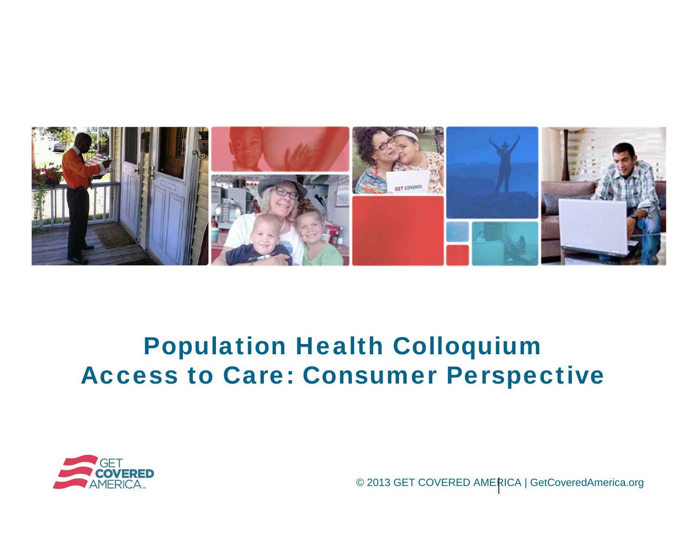

#### Population Health Colloquium Access to Care: Consumer Perspective



© 2013 GET COVERED AMERICA | GetCoveredAmerica.org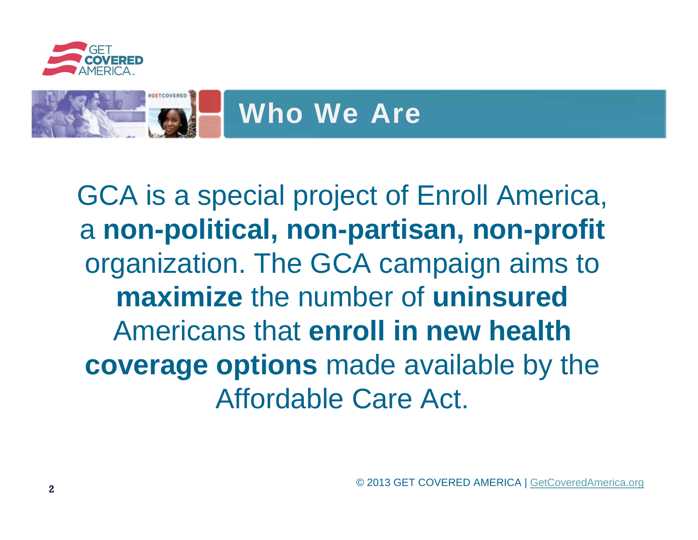

## Who We Are

GCA is a special project of Enroll America, <sup>a</sup>**non-political, non-partisan, non-profit**  organization. The GCA campaign aims to **maximize** the number of **uninsured**  Americans that **enroll in new health coverage options** made available by the Affordable Care Act.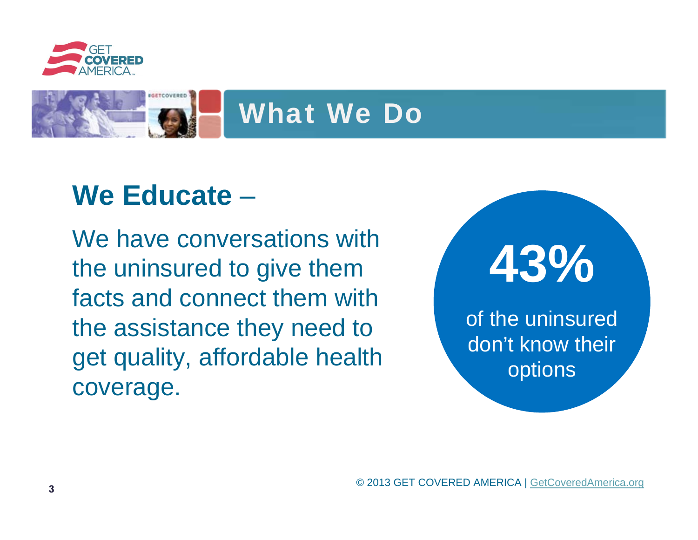

# What We Do

## **We Educate** –

We have conversations with the uninsured to give them facts and connect them with the assistance they need to get quality, affordable health coverage.



of the uninsured don't know their options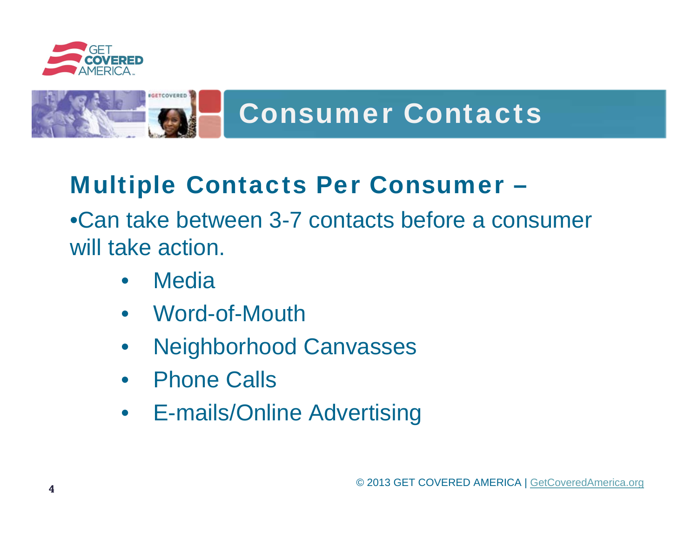

# Consumer Contacts

#### Multiple Contacts Per Consumer –

•Can take between 3-7 contacts before a consumer will take action.

- Media
- Word-of-Mouth
- Neighborhood Canvasses
- Phone Calls
- E-mails/Online Advertising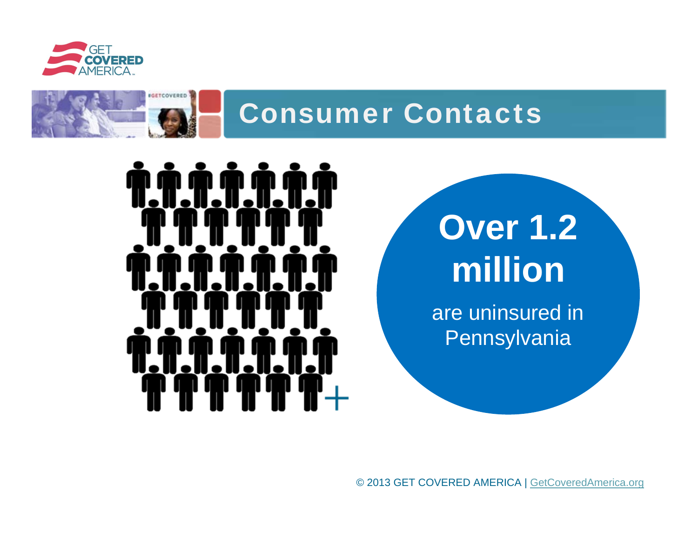



#### Consumer Contacts

# **Over 1.2 million**

are uninsured in **Pennsylvania** 

© 2013 GET COVERED AMERICA | GetCoveredAmerica.org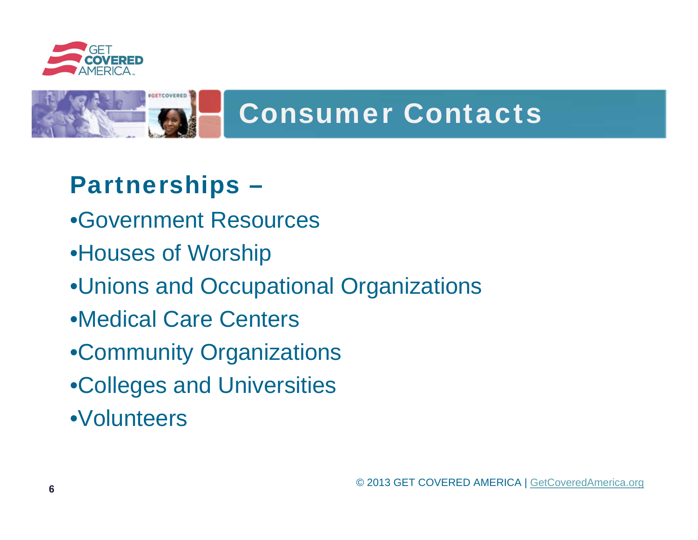

# Consumer Contacts

#### Partnerships –

- •Government Resources
- •Houses of Worship
- •Unions and Occupational Organizations
- •Medical Care Centers
- •Community Organizations
- •Colleges and Universities
- •Volunteers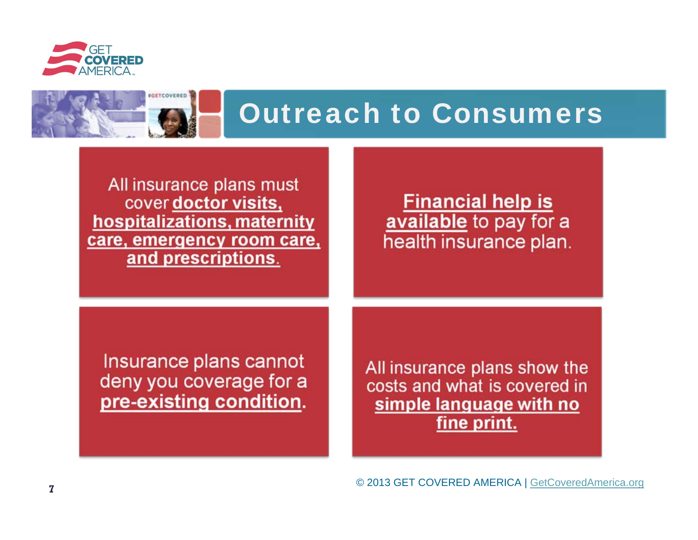



All insurance plans must cover doctor visits, hospitalizations, maternity care, emergency room care, and prescriptions.

#### **Financial help is** available to pay for a health insurance plan.

Insurance plans cannot deny you coverage for a pre-existing condition.

All insurance plans show the costs and what is covered in simple language with no fine print.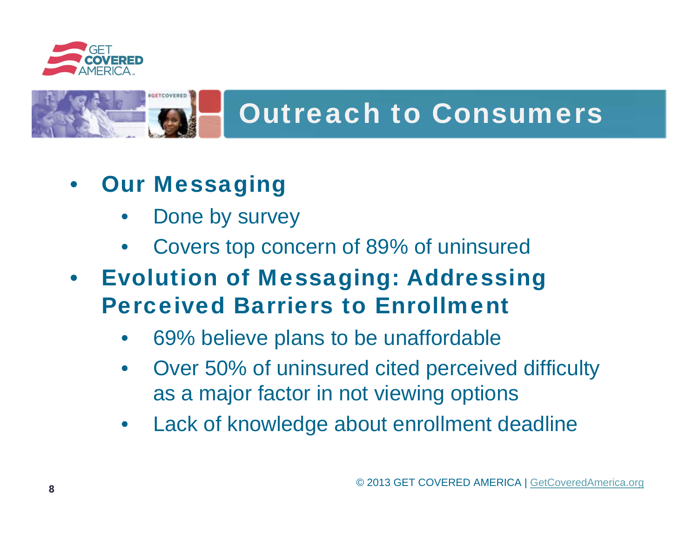

# Outreach to Consumers

#### **Our Messaging**

- Done by survey
- Covers top concern of 89% of uninsured
- **Evolution of Messaging: Addressing** Perceived Barriers to Enrollment
	- 69% believe plans to be unaffordable
	- Over 50% of uninsured cited perceived difficulty as a major factor in not viewing options
	- Lack of knowledge about enrollment deadline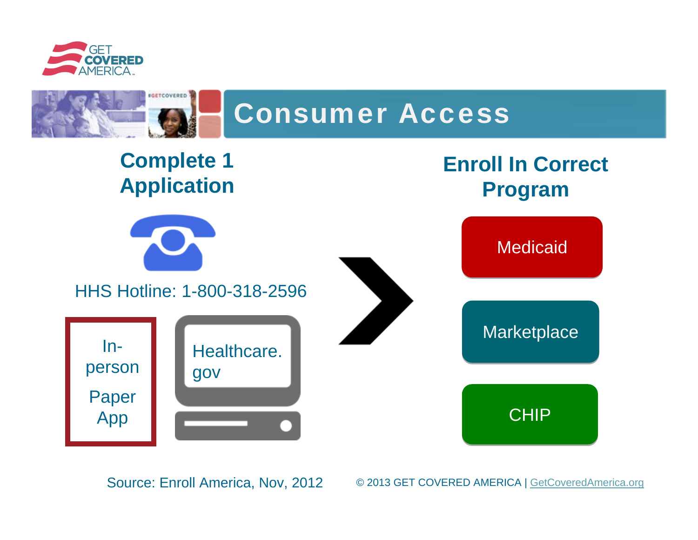



#### **Complete 1 Application**



HHS Hotline: 1-800-318-2596





Medicaid

Marketplace

CHIP CHIP

Source: Enroll America, Nov, 2012

© 2013 GET COVERED AMERICA | GetCoveredAmerica.org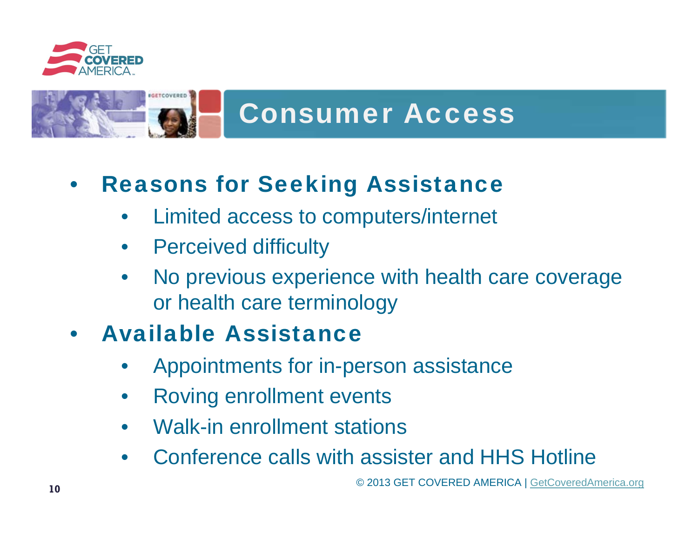

# Consumer Access

#### • Reasons for Seeking Assistance

- Limited access to computers/internet
- Perceived difficulty
- No previous experience with health care coverage or health care terminology

#### • Available Assistance

- Appointments for in-person assistance
- Roving enrollment events
- Walk-in enrollment stations
- Conference calls with assister and HHS Hotline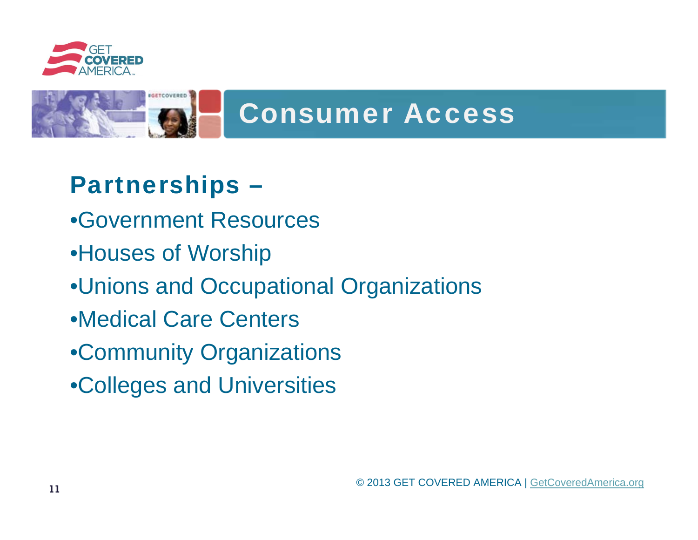



#### Partnerships –

- •Government Resources
- •Houses of Worship
- •Unions and Occupational Organizations
- •Medical Care Centers
- •Community Organizations
- •Colleges and Universities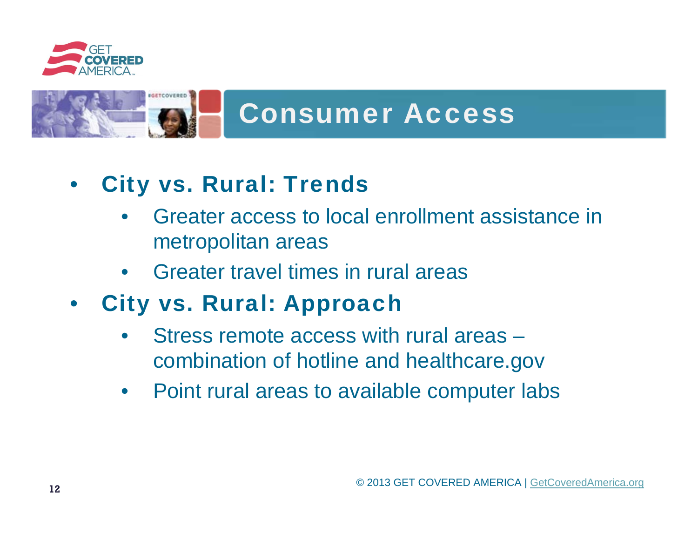

# Consumer Access

#### • City vs. Rural: Trends

- Greater access to local enrollment assistance in metropolitan areas
- Greater travel times in rural areas
- City vs. Rural: Approach
	- Stress remote access with rural areas combination of hotline and healthcare.gov
	- Point rural areas to available computer labs